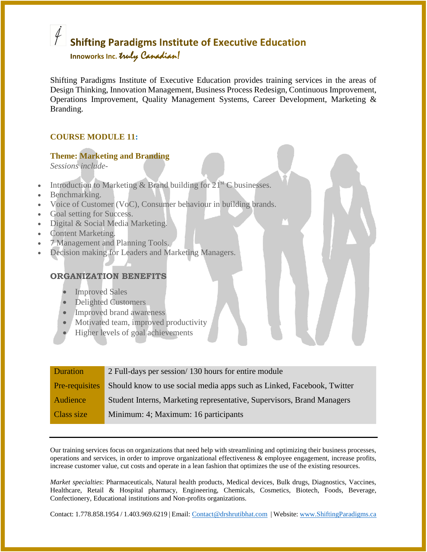# **Shifting Paradigms Institute of Executive Education**

Innoworks Inc. Truly Canadian!

Shifting Paradigms Institute of Executive Education provides training services in the areas of Design Thinking, Innovation Management, Business Process Redesign, Continuous Improvement, Operations Improvement, Quality Management Systems, Career Development, Marketing & Branding.

### **COURSE MODULE 11:**

#### **Theme: Marketing and Branding**

*Sessions include-*

- Introduction to Marketing & Brand building for  $21^{st}$  C businesses.
- Benchmarking.
- Voice of Customer (VoC), Consumer behaviour in building brands.
- Goal setting for Success.
- Digital & Social Media Marketing.
- Content Marketing.
- 7 Management and Planning Tools.
- Decision making for Leaders and Marketing Managers.

### **ORGANIZATION BENEFITS**

- Improved Sales
- Delighted Customers
- Improved brand awareness
- Motivated team, improved productivity
- Higher levels of goal achievements

| Duration       | 2 Full-days per session/130 hours for entire module                    |
|----------------|------------------------------------------------------------------------|
| Pre-requisites | Should know to use social media apps such as Linked, Facebook, Twitter |
| Audience       | Student Interns, Marketing representative, Supervisors, Brand Managers |
| Class size     | Minimum: 4; Maximum: 16 participants                                   |

Our training services focus on organizations that need help with streamlining and optimizing their business processes, operations and services, in order to improve organizational effectiveness & employee engagement, increase profits, increase customer value, cut costs and operate in a lean fashion that optimizes the use of the existing resources.

*Market specialties*: Pharmaceuticals, Natural health products, Medical devices, Bulk drugs, Diagnostics, Vaccines, Healthcare, Retail & Hospital pharmacy, Engineering, Chemicals, Cosmetics, Biotech, Foods, Beverage, Confectionery, Educational institutions and Non-profits organizations.

Contact: 1.778.858.1954 / 1.403.969.6219 | Email: [Contact@drshrutibhat.com](mailto:Contact@drshrutibhat.com) | Website: [www.ShiftingParadigms.ca](http://www.shiftingparadigms.ca/)